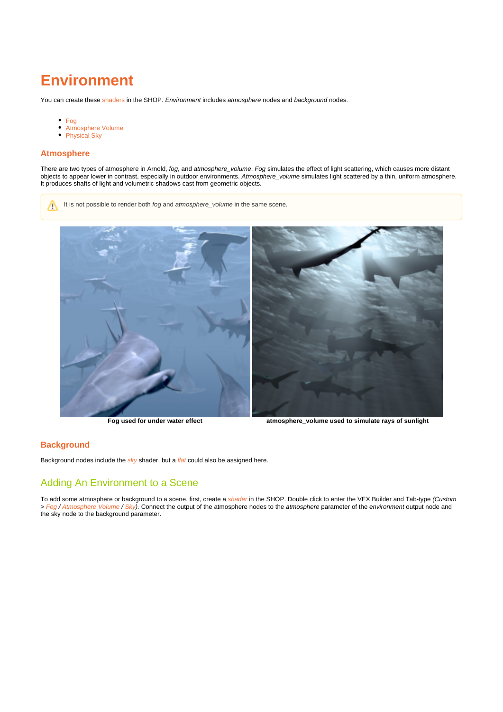## **Environment**

You can create these [shaders](https://support.solidangle.com/display/A5AFHUG/Shaders) in the SHOP. Environment includes atmosphere nodes and background nodes.

It is not possible to render both fog and atmosphere\_volume in the same scene.

- [Fog](https://docs.arnoldrenderer.com/display/A5AFHUG/Fog)
- $\bullet$ [Atmosphere Volume](https://docs.arnoldrenderer.com/display/A5AFHUG/Atmosphere+Volume)
- [Physical Sky](https://docs.arnoldrenderer.com/display/A5AFHUG/Physical+Sky)

## **Atmosphere**

There are two types of atmosphere in Arnold, fog, and atmosphere\_volume. Fog simulates the effect of light scattering, which causes more distant objects to appear lower in contrast, especially in outdoor environments. Atmosphere\_volume simulates light scattered by a thin, uniform atmosphere. It produces shafts of light and volumetric shadows cast from geometric objects.



**Fog used for under water effect atmosphere\_volume used to simulate rays of sunlight**

## **Background**

Background nodes include the  $sky$  shader, but a *[flat](https://docs.arnoldrenderer.com/display/A5AFHUG/Flat)* could also be assigned here.

## <span id="page-0-0"></span>[Adding An Environment to a Scene](#page-0-0)

To add some atmosphere or background to a scene, first, create a [shader](https://docs.arnoldrenderer.com/display/A5AFHUG/Shaders) in the SHOP. Double click to enter the VEX Builder and Tab-type *(Custom* > [Fog](https://docs.arnoldrenderer.com/display/A5AFHUG/Fog) / [Atmosphere Volume](https://docs.arnoldrenderer.com/display/A5AFHUG/Atmosphere+Volume) / [Sky](https://docs.arnoldrenderer.com/display/A5AFHUG/Sky)). Connect the output of the atmosphere nodes to the atmosphere parameter of the environment output node and the sky node to the background parameter.